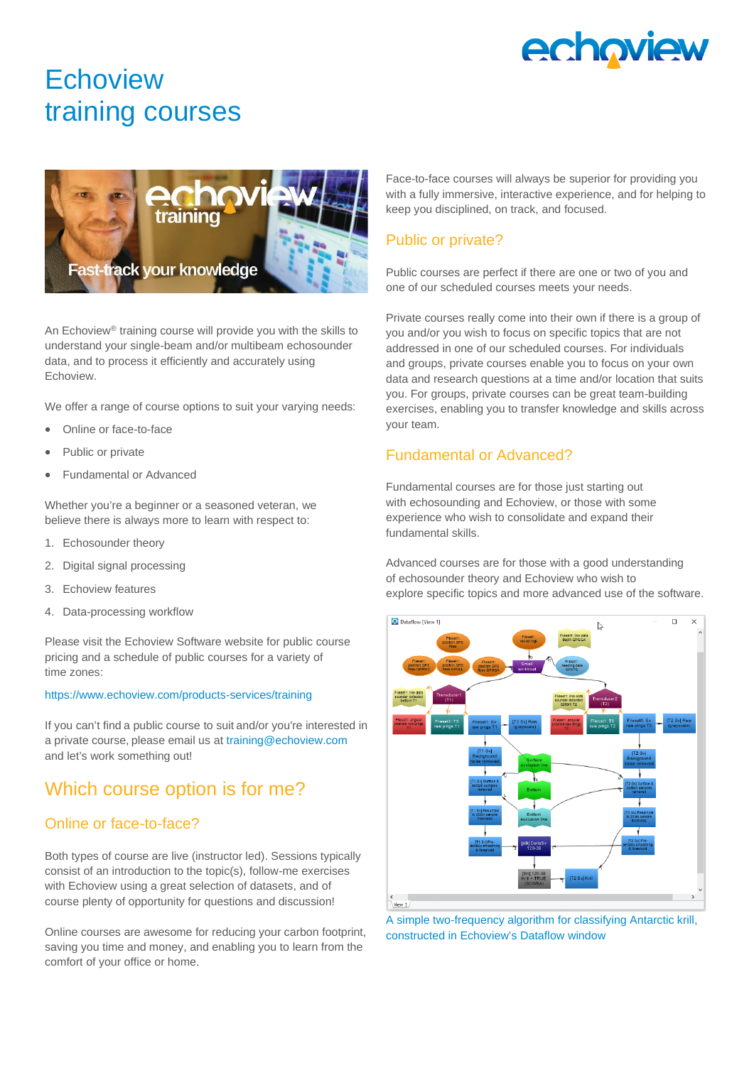

# **Echoview** training courses



An Echoview® training course will provide you with the skills to understand your single-beam and/or multibeam echosounder data, and to process it efficiently and accurately using Echoview.

We offer a range of course options to suit your varying needs:

- Online or face-to-face
- Public or private
- Fundamental or Advanced

Whether you're a beginner or a seasoned veteran, we believe there is always more to learn with respect to:

- 1. Echosounder theory
- 2. Digital signal processing
- 3. Echoview features
- 4. Data-processing workflow

Please visit the Echoview Software website for public course pricing and a schedule of public courses for a variety of time zones:

#### <https://www.echoview.com/products-services/training>

If you can't find a public course to suit and/or you're interested in a private course, please email us at [training@echoview.com](mailto:training@echoview.com) and let's work something out!

### Which course option is for me?

#### Online or face-to-face?

Both types of course are live (instructor led). Sessions typically consist of an introduction to the topic(s), follow-me exercises with Echoview using a great selection of datasets, and of course plenty of opportunity for questions and discussion!

Online courses are awesome for reducing your carbon footprint, saving you time and money, and enabling you to learn from the comfort of your office or home.

Face-to-face courses will always be superior for providing you with a fully immersive, interactive experience, and for helping to keep you disciplined, on track, and focused.

#### Public or private?

Public courses are perfect if there are one or two of you and one of our scheduled courses meets your needs.

Private courses really come into their own if there is a group of you and/or you wish to focus on specific topics that are not addressed in one of our scheduled courses. For individuals and groups, private courses enable you to focus on your own data and research questions at a time and/or location that suits you. For groups, private courses can be great team-building exercises, enabling you to transfer knowledge and skills across your team.

#### Fundamental or Advanced?

Fundamental courses are for those just starting out with echosounding and Echoview, or those with some experience who wish to consolidate and expand their fundamental skills.

Advanced courses are for those with a good understanding of echosounder theory and Echoview who wish to explore specific topics and more advanced use of the software.



A simple two-frequency algorithm for classifying Antarctic krill, constructed in Echoview's Dataflow window